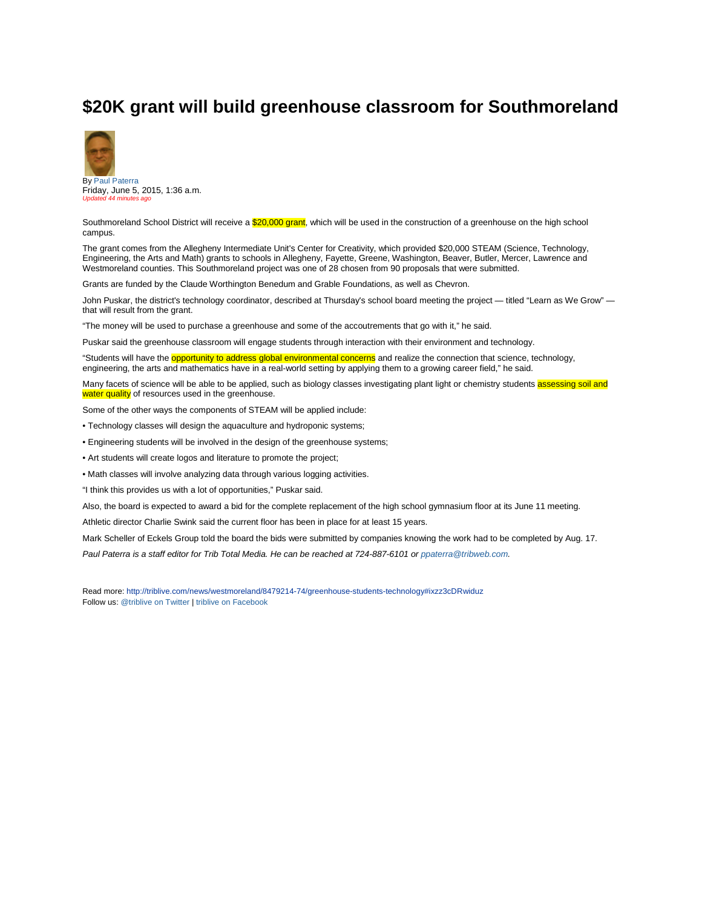## **\$20K grant will build greenhouse classroom for Southmoreland**



Friday, June 5, 2015, 1:36 a.m. *Updated 44 minutes ago*

Southmoreland School District will receive a \$20,000 grant, which will be used in the construction of a greenhouse on the high school campus.

The grant comes from the Allegheny Intermediate Unit's Center for Creativity, which provided \$20,000 STEAM (Science, Technology, Engineering, the Arts and Math) grants to schools in Allegheny, Fayette, Greene, Washington, Beaver, Butler, Mercer, Lawrence and Westmoreland counties. This Southmoreland project was one of 28 chosen from 90 proposals that were submitted.

Grants are funded by the Claude Worthington Benedum and Grable Foundations, as well as Chevron.

John Puskar, the district's technology coordinator, described at Thursday's school board meeting the project — titled "Learn as We Grow" that will result from the grant.

"The money will be used to purchase a greenhouse and some of the accoutrements that go with it," he said.

Puskar said the greenhouse classroom will engage students through interaction with their environment and technology.

"Students will have the **opportunity to address global environmental concerns** and realize the connection that science, technology, engineering, the arts and mathematics have in a real-world setting by applying them to a growing career field," he said.

Many facets of science will be able to be applied, such as biology classes investigating plant light or chemistry students assessing soil and water quality of resources used in the greenhouse.

Some of the other ways the components of STEAM will be applied include:

- Technology classes will design the aquaculture and hydroponic systems;
- Engineering students will be involved in the design of the greenhouse systems;
- Art students will create logos and literature to promote the project;
- Math classes will involve analyzing data through various logging activities.

"I think this provides us with a lot of opportunities," Puskar said.

Also, the board is expected to award a bid for the complete replacement of the high school gymnasium floor at its June 11 meeting.

Athletic director Charlie Swink said the current floor has been in place for at least 15 years.

Mark Scheller of Eckels Group told the board the bids were submitted by companies knowing the work had to be completed by Aug. 17.

*Paul Paterra is a staff editor for Trib Total Media. He can be reached at 724-887-6101 o[r ppaterra@tribweb.com.](mailto:ppaterra@tribweb.com)* 

Read more[: http://triblive.com/news/westmoreland/8479214-74/greenhouse-students-technology#ixzz3cDRwiduz](http://triblive.com/news/westmoreland/8479214-74/greenhouse-students-technology#ixzz3cDRwiduz) Follow us[: @triblive on Twitter](http://ec.tynt.com/b/rw?id=d-D-nM8emr4ALpacwqm_6l&u=triblive) [| triblive on Facebook](http://ec.tynt.com/b/rf?id=d-D-nM8emr4ALpacwqm_6l&u=triblive)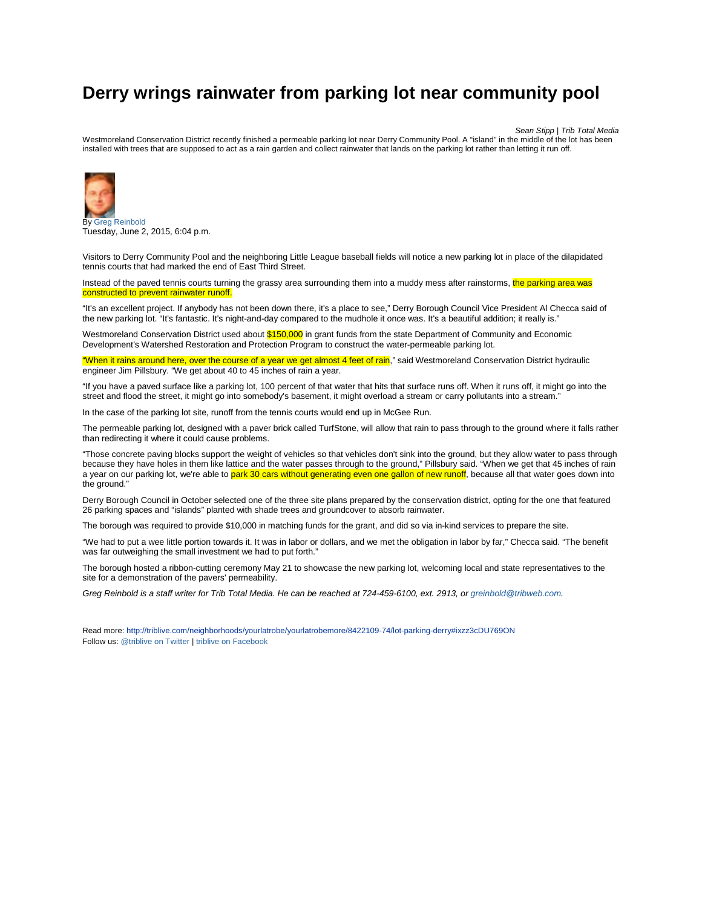## **Derry wrings rainwater from parking lot near community pool**

*Sean Stipp | Trib Total Media*

Westmoreland Conservation District recently finished a permeable parking lot near Derry Community Pool. A "island" in the middle of the lot has been installed with trees that are supposed to act as a rain garden and collect rainwater that lands on the parking lot rather than letting it run off.



B[y Greg Reinbold](mailto:greinbold@tribweb.com?subject=RE:%20Derry%20wrings%20rainwater%20from%20parking%20lot%20near%20community%20pool%20story%20on%20TribLIVE.com) Tuesday, June 2, 2015, 6:04 p.m.

Visitors to Derry Community Pool and the neighboring Little League baseball fields will notice a new parking lot in place of the dilapidated tennis courts that had marked the end of East Third Street.

Instead of the paved tennis courts turning the grassy area surrounding them into a muddy mess after rainstorms, the parking area was constructed to prevent rainwater runoff.

"It's an excellent project. If anybody has not been down there, it's a place to see," Derry Borough Council Vice President Al Checca said of the new parking lot. "It's fantastic. It's night-and-day compared to the mudhole it once was. It's a beautiful addition; it really is."

Westmoreland Conservation District used about \$150,000 in grant funds from the state Department of Community and Economic Development's Watershed Restoration and Protection Program to construct the water-permeable parking lot.

"When it rains around here, over the course of a year we get almost 4 feet of rain," said Westmoreland Conservation District hydraulic engineer Jim Pillsbury. "We get about 40 to 45 inches of rain a year.

"If you have a paved surface like a parking lot, 100 percent of that water that hits that surface runs off. When it runs off, it might go into the street and flood the street, it might go into somebody's basement, it might overload a stream or carry pollutants into a stream."

In the case of the parking lot site, runoff from the tennis courts would end up in McGee Run.

The permeable parking lot, designed with a paver brick called TurfStone, will allow that rain to pass through to the ground where it falls rather than redirecting it where it could cause problems.

"Those concrete paving blocks support the weight of vehicles so that vehicles don't sink into the ground, but they allow water to pass through because they have holes in them like lattice and the water passes through to the ground," Pillsbury said. "When we get that 45 inches of rain a year on our parking lot, we're able to park 30 cars without generating even one gallon of new runoff, because all that water goes down into the ground."

Derry Borough Council in October selected one of the three site plans prepared by the conservation district, opting for the one that featured 26 parking spaces and "islands" planted with shade trees and groundcover to absorb rainwater.

The borough was required to provide \$10,000 in matching funds for the grant, and did so via in-kind services to prepare the site.

"We had to put a wee little portion towards it. It was in labor or dollars, and we met the obligation in labor by far," Checca said. "The benefit was far outweighing the small investment we had to put forth."

The borough hosted a ribbon-cutting ceremony May 21 to showcase the new parking lot, welcoming local and state representatives to the site for a demonstration of the pavers' permeability.

*Greg Reinbold is a staff writer for Trib Total Media. He can be reached at 724-459-6100, ext. 2913, o[r greinbold@tribweb.com.](mailto:greinbold@tribweb.com)* 

Read more[: http://triblive.com/neighborhoods/yourlatrobe/yourlatrobemore/8422109-74/lot-parking-derry#ixzz3cDU769ON](http://triblive.com/neighborhoods/yourlatrobe/yourlatrobemore/8422109-74/lot-parking-derry#ixzz3cDU769ON) Follow us[: @triblive on Twitter](http://ec.tynt.com/b/rw?id=d-D-nM8emr4ALpacwqm_6l&u=triblive) [| triblive on Facebook](http://ec.tynt.com/b/rf?id=d-D-nM8emr4ALpacwqm_6l&u=triblive)